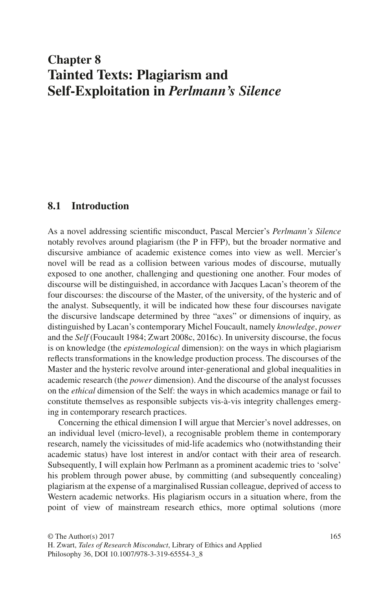# **Chapter 8 Tainted Texts: Plagiarism and Self-Exploitation in** *Perlmann's Silence*

### **8.1 Introduction**

As a novel addressing scientific misconduct, Pascal Mercier's *Perlmann's Silence* notably revolves around plagiarism (the P in FFP), but the broader normative and discursive ambiance of academic existence comes into view as well. Mercier's novel will be read as a collision between various modes of discourse, mutually exposed to one another, challenging and questioning one another. Four modes of discourse will be distinguished, in accordance with Jacques Lacan's theorem of the four discourses: the discourse of the Master, of the university, of the hysteric and of the analyst. Subsequently, it will be indicated how these four discourses navigate the discursive landscape determined by three "axes" or dimensions of inquiry, as distinguished by Lacan's contemporary Michel Foucault, namely *knowledge*, *power* and the *Self* (Foucault 1984; Zwart 2008c, 2016c). In university discourse, the focus is on knowledge (the *epistemological* dimension): on the ways in which plagiarism reflects transformations in the knowledge production process. The discourses of the Master and the hysteric revolve around inter-generational and global inequalities in academic research (the *power* dimension). And the discourse of the analyst focusses on the *ethical* dimension of the Self: the ways in which academics manage or fail to constitute themselves as responsible subjects vis-à-vis integrity challenges emerging in contemporary research practices.

Concerning the ethical dimension I will argue that Mercier's novel addresses, on an individual level (micro-level), a recognisable problem theme in contemporary research, namely the vicissitudes of mid-life academics who (notwithstanding their academic status) have lost interest in and/or contact with their area of research. Subsequently, I will explain how Perlmann as a prominent academic tries to 'solve' his problem through power abuse, by committing (and subsequently concealing) plagiarism at the expense of a marginalised Russian colleague, deprived of access to Western academic networks. His plagiarism occurs in a situation where, from the point of view of mainstream research ethics, more optimal solutions (more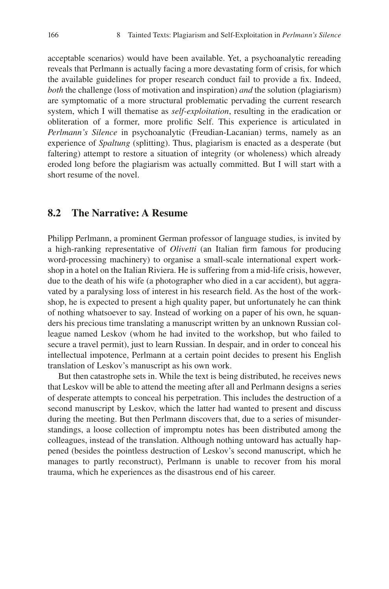acceptable scenarios) would have been available. Yet, a psychoanalytic rereading reveals that Perlmann is actually facing a more devastating form of crisis, for which the available guidelines for proper research conduct fail to provide a fix. Indeed, *both* the challenge (loss of motivation and inspiration) *and* the solution (plagiarism) are symptomatic of a more structural problematic pervading the current research system, which I will thematise as *self-exploitation*, resulting in the eradication or obliteration of a former, more prolific Self. This experience is articulated in *Perlmann's Silence* in psychoanalytic (Freudian-Lacanian) terms, namely as an experience of *Spaltung* (splitting). Thus, plagiarism is enacted as a desperate (but faltering) attempt to restore a situation of integrity (or wholeness) which already eroded long before the plagiarism was actually committed. But I will start with a short resume of the novel.

#### **8.2 The Narrative: A Resume**

Philipp Perlmann, a prominent German professor of language studies, is invited by a high-ranking representative of *Olivetti* (an Italian firm famous for producing word-processing machinery) to organise a small-scale international expert workshop in a hotel on the Italian Riviera. He is suffering from a mid-life crisis, however, due to the death of his wife (a photographer who died in a car accident), but aggravated by a paralysing loss of interest in his research field. As the host of the workshop, he is expected to present a high quality paper, but unfortunately he can think of nothing whatsoever to say. Instead of working on a paper of his own, he squanders his precious time translating a manuscript written by an unknown Russian colleague named Leskov (whom he had invited to the workshop, but who failed to secure a travel permit), just to learn Russian. In despair, and in order to conceal his intellectual impotence, Perlmann at a certain point decides to present his English translation of Leskov's manuscript as his own work.

But then catastrophe sets in. While the text is being distributed, he receives news that Leskov will be able to attend the meeting after all and Perlmann designs a series of desperate attempts to conceal his perpetration. This includes the destruction of a second manuscript by Leskov, which the latter had wanted to present and discuss during the meeting. But then Perlmann discovers that, due to a series of misunderstandings, a loose collection of impromptu notes has been distributed among the colleagues, instead of the translation. Although nothing untoward has actually happened (besides the pointless destruction of Leskov's second manuscript, which he manages to partly reconstruct), Perlmann is unable to recover from his moral trauma, which he experiences as the disastrous end of his career.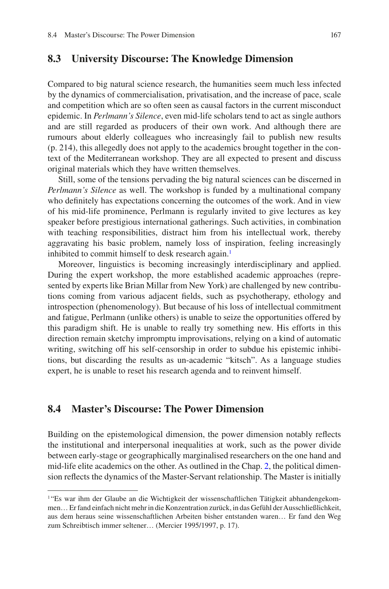#### **8.3 University Discourse: The Knowledge Dimension**

Compared to big natural science research, the humanities seem much less infected by the dynamics of commercialisation, privatisation, and the increase of pace, scale and competition which are so often seen as causal factors in the current misconduct epidemic. In *Perlmann's Silence*, even mid-life scholars tend to act as single authors and are still regarded as producers of their own work. And although there are rumours about elderly colleagues who increasingly fail to publish new results (p. 214), this allegedly does not apply to the academics brought together in the context of the Mediterranean workshop. They are all expected to present and discuss original materials which they have written themselves.

Still, some of the tensions pervading the big natural sciences can be discerned in *Perlmann's Silence* as well. The workshop is funded by a multinational company who definitely has expectations concerning the outcomes of the work. And in view of his mid-life prominence, Perlmann is regularly invited to give lectures as key speaker before prestigious international gatherings. Such activities, in combination with teaching responsibilities, distract him from his intellectual work, thereby aggravating his basic problem, namely loss of inspiration, feeling increasingly inhibited to commit himself to desk research again.<sup>[1](#page-2-0)</sup>

Moreover, linguistics is becoming increasingly interdisciplinary and applied. During the expert workshop, the more established academic approaches (represented by experts like Brian Millar from New York) are challenged by new contributions coming from various adjacent fields, such as psychotherapy, ethology and introspection (phenomenology). But because of his loss of intellectual commitment and fatigue, Perlmann (unlike others) is unable to seize the opportunities offered by this paradigm shift. He is unable to really try something new. His efforts in this direction remain sketchy impromptu improvisations, relying on a kind of automatic writing, switching off his self-censorship in order to subdue his epistemic inhibitions, but discarding the results as un-academic "kitsch". As a language studies expert, he is unable to reset his research agenda and to reinvent himself.

#### **8.4 Master's Discourse: The Power Dimension**

Building on the epistemological dimension, the power dimension notably reflects the institutional and interpersonal inequalities at work, such as the power divide between early-stage or geographically marginalised researchers on the one hand and mid-life elite academics on the other. As outlined in the Chap. [2,](http://dx.doi.org/10.1007/978-3-319-65554-3_2) the political dimension reflects the dynamics of the Master-Servant relationship. The Master is initially

<span id="page-2-0"></span><sup>&</sup>lt;sup>1</sup> "Es war ihm der Glaube an die Wichtigkeit der wissenschaftlichen Tätigkeit abhandengekommen… Er fand einfach nicht mehr in die Konzentration zurück, in das Gefühl der Ausschließlichkeit, aus dem heraus seine wissenschaftlichen Arbeiten bisher entstanden waren… Er fand den Weg zum Schreibtisch immer seltener… (Mercier 1995/1997, p. 17).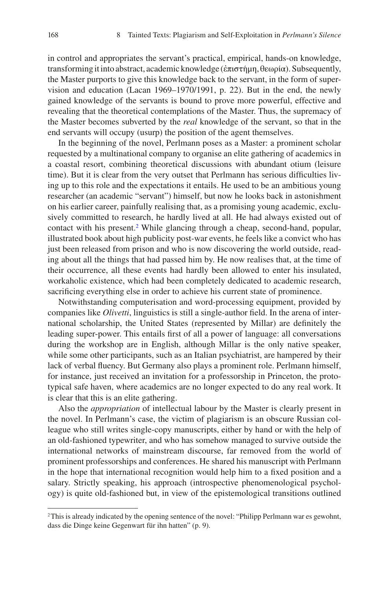in control and appropriates the servant's practical, empirical, hands-on knowledge, transforming it into abstract, academic knowledge (ἐπιστήμη, θεωρία). Subsequently, the Master purports to give this knowledge back to the servant, in the form of supervision and education (Lacan 1969–1970/1991, p. 22). But in the end, the newly gained knowledge of the servants is bound to prove more powerful, effective and revealing that the theoretical contemplations of the Master. Thus, the supremacy of the Master becomes subverted by the *real* knowledge of the servant, so that in the end servants will occupy (usurp) the position of the agent themselves.

In the beginning of the novel, Perlmann poses as a Master: a prominent scholar requested by a multinational company to organise an elite gathering of academics in a coastal resort, combining theoretical discussions with abundant otium (leisure time). But it is clear from the very outset that Perlmann has serious difficulties living up to this role and the expectations it entails. He used to be an ambitious young researcher (an academic "servant") himself, but now he looks back in astonishment on his earlier career, painfully realising that, as a promising young academic, exclusively committed to research, he hardly lived at all. He had always existed out of contact with his present.<sup>[2](#page-3-0)</sup> While glancing through a cheap, second-hand, popular, illustrated book about high publicity post-war events, he feels like a convict who has just been released from prison and who is now discovering the world outside, reading about all the things that had passed him by. He now realises that, at the time of their occurrence, all these events had hardly been allowed to enter his insulated, workaholic existence, which had been completely dedicated to academic research, sacrificing everything else in order to achieve his current state of prominence.

Notwithstanding computerisation and word-processing equipment, provided by companies like *Olivetti*, linguistics is still a single-author field. In the arena of international scholarship, the United States (represented by Millar) are definitely the leading super-power. This entails first of all a power of language: all conversations during the workshop are in English, although Millar is the only native speaker, while some other participants, such as an Italian psychiatrist, are hampered by their lack of verbal fluency. But Germany also plays a prominent role. Perlmann himself, for instance, just received an invitation for a professorship in Princeton, the prototypical safe haven, where academics are no longer expected to do any real work. It is clear that this is an elite gathering.

Also the *appropriation* of intellectual labour by the Master is clearly present in the novel. In Perlmann's case, the victim of plagiarism is an obscure Russian colleague who still writes single-copy manuscripts, either by hand or with the help of an old-fashioned typewriter, and who has somehow managed to survive outside the international networks of mainstream discourse, far removed from the world of prominent professorships and conferences. He shared his manuscript with Perlmann in the hope that international recognition would help him to a fixed position and a salary. Strictly speaking, his approach (introspective phenomenological psychology) is quite old-fashioned but, in view of the epistemological transitions outlined

<span id="page-3-0"></span><sup>2</sup>This is already indicated by the opening sentence of the novel: "Philipp Perlmann war es gewohnt, dass die Dinge keine Gegenwart für ihn hatten" (p. 9).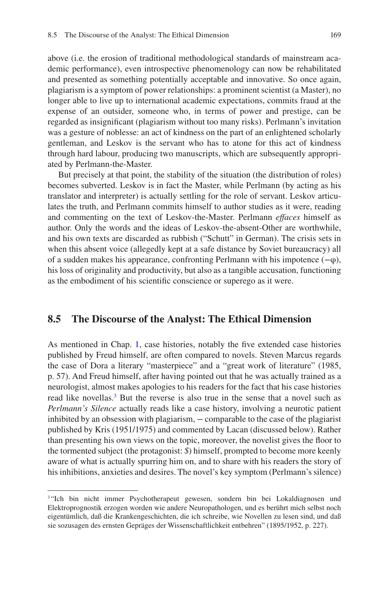above (i.e. the erosion of traditional methodological standards of mainstream academic performance), even introspective phenomenology can now be rehabilitated and presented as something potentially acceptable and innovative. So once again, plagiarism is a symptom of power relationships: a prominent scientist (a Master), no longer able to live up to international academic expectations, commits fraud at the expense of an outsider, someone who, in terms of power and prestige, can be regarded as insignificant (plagiarism without too many risks). Perlmann's invitation was a gesture of noblesse: an act of kindness on the part of an enlightened scholarly gentleman, and Leskov is the servant who has to atone for this act of kindness through hard labour, producing two manuscripts, which are subsequently appropriated by Perlmann-the-Master.

But precisely at that point, the stability of the situation (the distribution of roles) becomes subverted. Leskov is in fact the Master, while Perlmann (by acting as his translator and interpreter) is actually settling for the role of servant. Leskov articulates the truth, and Perlmann commits himself to author studies as it were, reading and commenting on the text of Leskov-the-Master. Perlmann *effaces* himself as author. Only the words and the ideas of Leskov-the-absent-Other are worthwhile, and his own texts are discarded as rubbish ("Schutt" in German). The crisis sets in when this absent voice (allegedly kept at a safe distance by Soviet bureaucracy) all of a sudden makes his appearance, confronting Perlmann with his impotence  $(-\varphi)$ , his loss of originality and productivity, but also as a tangible accusation, functioning as the embodiment of his scientific conscience or superego as it were.

#### **8.5 The Discourse of the Analyst: The Ethical Dimension**

As mentioned in Chap. [1](http://dx.doi.org/10.1007/978-3-319-65554-3_1), case histories, notably the five extended case histories published by Freud himself, are often compared to novels. Steven Marcus regards the case of Dora a literary "masterpiece" and a "great work of literature" (1985, p. 57). And Freud himself, after having pointed out that he was actually trained as a neurologist, almost makes apologies to his readers for the fact that his case histories read like novellas.<sup>[3](#page-4-0)</sup> But the reverse is also true in the sense that a novel such as *Perlmann's Silence* actually reads like a case history, involving a neurotic patient inhibited by an obsession with plagiarism, − comparable to the case of the plagiarist published by Kris (1951/1975) and commented by Lacan (discussed below). Rather than presenting his own views on the topic, moreover, the novelist gives the floor to the tormented subject (the protagonist: *\$*) himself, prompted to become more keenly aware of what is actually spurring him on, and to share with his readers the story of his inhibitions, anxieties and desires. The novel's key symptom (Perlmann's silence)

<span id="page-4-0"></span><sup>&</sup>lt;sup>3</sup>"Ich bin nicht immer Psychotherapeut gewesen, sondern bin bei Lokaldiagnosen und Elektroprognostik erzogen worden wie andere Neuropathologen, und es berührt mich selbst noch eigentümlich, daß die Krankengeschichten, die ich schreibe, wie Novellen zu lesen sind, und daß sie sozusagen des ernsten Gepräges der Wissenschaftlichkeit entbehren" (1895/1952, p. 227).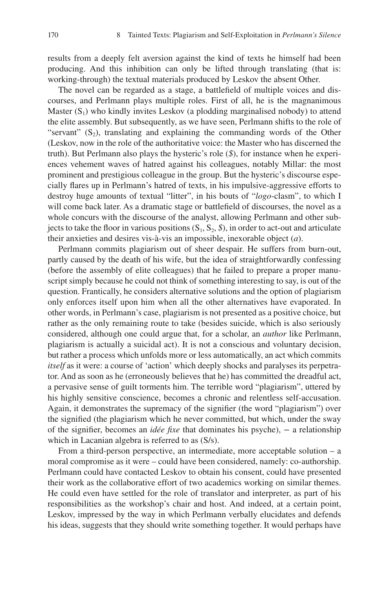results from a deeply felt aversion against the kind of texts he himself had been producing. And this inhibition can only be lifted through translating (that is: working-through) the textual materials produced by Leskov the absent Other.

The novel can be regarded as a stage, a battlefield of multiple voices and discourses, and Perlmann plays multiple roles. First of all, he is the magnanimous Master  $(S_1)$  who kindly invites Leskov (a plodding marginalised nobody) to attend the elite assembly. But subsequently, as we have seen, Perlmann shifts to the role of "servant"  $(S_2)$ , translating and explaining the commanding words of the Other (Leskov, now in the role of the authoritative voice: the Master who has discerned the truth). But Perlmann also plays the hysteric's role (*\$*), for instance when he experiences vehement waves of hatred against his colleagues, notably Millar: the most prominent and prestigious colleague in the group. But the hysteric's discourse especially flares up in Perlmann's hatred of texts, in his impulsive-aggressive efforts to destroy huge amounts of textual "litter", in his bouts of "*logo*-clasm", to which I will come back later. As a dramatic stage or battlefield of discourses, the novel as a whole concurs with the discourse of the analyst, allowing Perlmann and other subjects to take the floor in various positions  $(S_1, S_2, \hat{\theta})$ , in order to act-out and articulate their anxieties and desires vis-à-vis an impossible, inexorable object (*a*).

Perlmann commits plagiarism out of sheer despair. He suffers from burn-out, partly caused by the death of his wife, but the idea of straightforwardly confessing (before the assembly of elite colleagues) that he failed to prepare a proper manuscript simply because he could not think of something interesting to say, is out of the question. Frantically, he considers alternative solutions and the option of plagiarism only enforces itself upon him when all the other alternatives have evaporated. In other words, in Perlmann's case, plagiarism is not presented as a positive choice, but rather as the only remaining route to take (besides suicide, which is also seriously considered, although one could argue that, for a scholar, an *author* like Perlmann, plagiarism is actually a suicidal act). It is not a conscious and voluntary decision, but rather a process which unfolds more or less automatically, an act which commits *itself* as it were: a course of 'action' which deeply shocks and paralyses its perpetrator. And as soon as he (erroneously believes that he) has committed the dreadful act, a pervasive sense of guilt torments him. The terrible word "plagiarism", uttered by his highly sensitive conscience, becomes a chronic and relentless self-accusation. Again, it demonstrates the supremacy of the signifier (the word "plagiarism") over the signified (the plagiarism which he never committed, but which, under the sway of the signifier, becomes an *idée fixe* that dominates his psyche), − a relationship which in Lacanian algebra is referred to as (S/s).

From a third-person perspective, an intermediate, more acceptable solution – a moral compromise as it were – could have been considered, namely: co-authorship. Perlmann could have contacted Leskov to obtain his consent, could have presented their work as the collaborative effort of two academics working on similar themes. He could even have settled for the role of translator and interpreter, as part of his responsibilities as the workshop's chair and host. And indeed, at a certain point, Leskov, impressed by the way in which Perlmann verbally elucidates and defends his ideas, suggests that they should write something together. It would perhaps have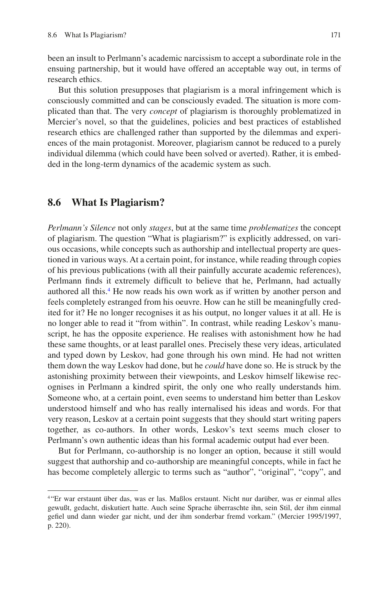been an insult to Perlmann's academic narcissism to accept a subordinate role in the ensuing partnership, but it would have offered an acceptable way out, in terms of research ethics.

But this solution presupposes that plagiarism is a moral infringement which is consciously committed and can be consciously evaded. The situation is more complicated than that. The very *concept* of plagiarism is thoroughly problematized in Mercier's novel, so that the guidelines, policies and best practices of established research ethics are challenged rather than supported by the dilemmas and experiences of the main protagonist. Moreover, plagiarism cannot be reduced to a purely individual dilemma (which could have been solved or averted). Rather, it is embedded in the long-term dynamics of the academic system as such.

#### **8.6 What Is Plagiarism?**

*Perlmann's Silence* not only *stages*, but at the same time *problematizes* the concept of plagiarism. The question "What is plagiarism?" is explicitly addressed, on various occasions, while concepts such as authorship and intellectual property are questioned in various ways. At a certain point, for instance, while reading through copies of his previous publications (with all their painfully accurate academic references), Perlmann finds it extremely difficult to believe that he, Perlmann, had actually authored all this.<sup>[4](#page-6-0)</sup> He now reads his own work as if written by another person and feels completely estranged from his oeuvre. How can he still be meaningfully credited for it? He no longer recognises it as his output, no longer values it at all. He is no longer able to read it "from within". In contrast, while reading Leskov's manuscript, he has the opposite experience. He realises with astonishment how he had these same thoughts, or at least parallel ones. Precisely these very ideas, articulated and typed down by Leskov, had gone through his own mind. He had not written them down the way Leskov had done, but he *could* have done so. He is struck by the astonishing proximity between their viewpoints, and Leskov himself likewise recognises in Perlmann a kindred spirit, the only one who really understands him. Someone who, at a certain point, even seems to understand him better than Leskov understood himself and who has really internalised his ideas and words. For that very reason, Leskov at a certain point suggests that they should start writing papers together, as co-authors. In other words, Leskov's text seems much closer to Perlmann's own authentic ideas than his formal academic output had ever been.

But for Perlmann, co-authorship is no longer an option, because it still would suggest that authorship and co-authorship are meaningful concepts, while in fact he has become completely allergic to terms such as "author", "original", "copy", and

<span id="page-6-0"></span><sup>4</sup> "Er war erstaunt über das, was er las. Maßlos erstaunt. Nicht nur darüber, was er einmal alles gewußt, gedacht, diskutiert hatte. Auch seine Sprache überraschte ihn, sein Stil, der ihm einmal gefiel und dann wieder gar nicht, und der ihm sonderbar fremd vorkam." (Mercier 1995/1997, p. 220).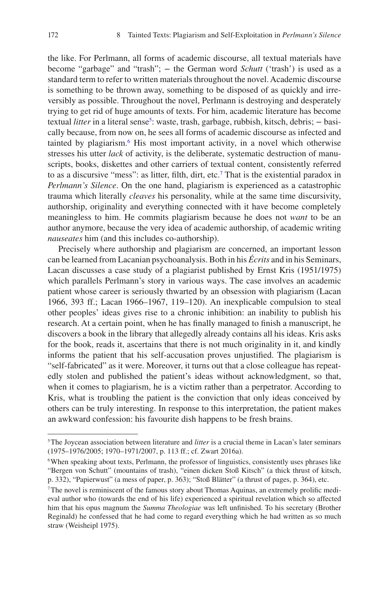the like. For Perlmann, all forms of academic discourse, all textual materials have become "garbage" and "trash"; − the German word *Schutt* ('trash') is used as a standard term to refer to written materials throughout the novel. Academic discourse is something to be thrown away, something to be disposed of as quickly and irreversibly as possible. Throughout the novel, Perlmann is destroying and desperately trying to get rid of huge amounts of texts. For him, academic literature has become textual *litter* in a literal sense<sup>[5](#page-7-0)</sup>: waste, trash, garbage, rubbish, kitsch, debris; − basically because, from now on, he sees all forms of academic discourse as infected and tainted by plagiarism.<sup>6</sup> His most important activity, in a novel which otherwise stresses his utter *lack* of activity, is the deliberate, systematic destruction of manuscripts, books, diskettes and other carriers of textual content, consistently referred to as a discursive "mess": as litter, filth, dirt, etc.<sup>[7](#page-7-2)</sup> That is the existential paradox in *Perlmann's Silence*. On the one hand, plagiarism is experienced as a catastrophic trauma which literally *cleaves* his personality, while at the same time discursivity, authorship, originality and everything connected with it have become completely meaningless to him. He commits plagiarism because he does not *want* to be an author anymore, because the very idea of academic authorship, of academic writing *nauseates* him (and this includes co-authorship).

Precisely where authorship and plagiarism are concerned, an important lesson can be learned from Lacanian psychoanalysis. Both in his *Écrits* and in his Seminars, Lacan discusses a case study of a plagiarist published by Ernst Kris (1951/1975) which parallels Perlmann's story in various ways. The case involves an academic patient whose career is seriously thwarted by an obsession with plagiarism (Lacan 1966, 393 ff.; Lacan 1966–1967, 119–120). An inexplicable compulsion to steal other peoples' ideas gives rise to a chronic inhibition: an inability to publish his research. At a certain point, when he has finally managed to finish a manuscript, he discovers a book in the library that allegedly already contains all his ideas. Kris asks for the book, reads it, ascertains that there is not much originality in it, and kindly informs the patient that his self-accusation proves unjustified. The plagiarism is "self-fabricated" as it were. Moreover, it turns out that a close colleague has repeatedly stolen and published the patient's ideas without acknowledgment, so that, when it comes to plagiarism, he is a victim rather than a perpetrator. According to Kris, what is troubling the patient is the conviction that only ideas conceived by others can be truly interesting. In response to this interpretation, the patient makes an awkward confession: his favourite dish happens to be fresh brains.

<span id="page-7-0"></span><sup>5</sup>The Joycean association between literature and *litter* is a crucial theme in Lacan's later seminars (1975–1976/2005; 1970–1971/2007, p. 113 ff.; cf. Zwart 2016a).

<span id="page-7-1"></span><sup>6</sup>When speaking about texts, Perlmann, the professor of linguistics, consistently uses phrases like "Bergen von Schutt" (mountains of trash), "einen dicken Stoß Kitsch" (a thick thrust of kitsch, p. 332), "Papierwust" (a mess of paper, p. 363); "Stoß Blätter" (a thrust of pages, p. 364), etc.

<span id="page-7-2"></span><sup>7</sup>The novel is reminiscent of the famous story about Thomas Aquinas, an extremely prolific medieval author who (towards the end of his life) experienced a spiritual revelation which so affected him that his opus magnum the *Summa Theologiae* was left unfinished. To his secretary (Brother Reginald) he confessed that he had come to regard everything which he had written as so much straw (Weisheipl 1975).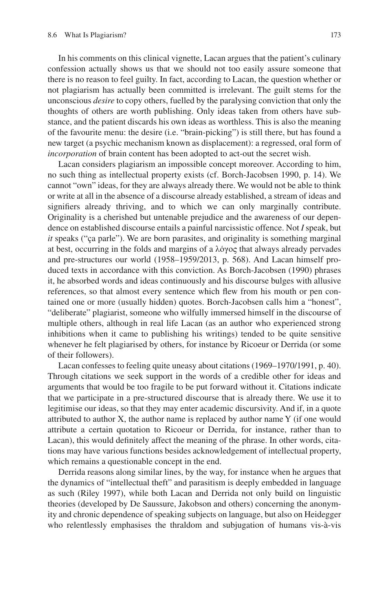In his comments on this clinical vignette, Lacan argues that the patient's culinary confession actually shows us that we should not too easily assure someone that there is no reason to feel guilty. In fact, according to Lacan, the question whether or not plagiarism has actually been committed is irrelevant. The guilt stems for the unconscious *desire* to copy others, fuelled by the paralysing conviction that only the thoughts of others are worth publishing. Only ideas taken from others have substance, and the patient discards his own ideas as worthless. This is also the meaning of the favourite menu: the desire (i.e. "brain-picking") is still there, but has found a new target (a psychic mechanism known as displacement): a regressed, oral form of *incorporation* of brain content has been adopted to act-out the secret wish.

Lacan considers plagiarism an impossible concept moreover. According to him, no such thing as intellectual property exists (cf. Borch-Jacobsen 1990, p. 14). We cannot "own" ideas, for they are always already there. We would not be able to think or write at all in the absence of a discourse already established, a stream of ideas and signifiers already thriving, and to which we can only marginally contribute. Originality is a cherished but untenable prejudice and the awareness of our dependence on established discourse entails a painful narcissistic offence. Not *I* speak, but *it* speaks ("ca parle"). We are born parasites, and originality is something marginal at best, occurring in the folds and margins of a λόγος that always already pervades and pre-structures our world (1958–1959/2013, p. 568). And Lacan himself produced texts in accordance with this conviction. As Borch-Jacobsen (1990) phrases it, he absorbed words and ideas continuously and his discourse bulges with allusive references, so that almost every sentence which flew from his mouth or pen contained one or more (usually hidden) quotes. Borch-Jacobsen calls him a "honest", "deliberate" plagiarist, someone who wilfully immersed himself in the discourse of multiple others, although in real life Lacan (as an author who experienced strong inhibitions when it came to publishing his writings) tended to be quite sensitive whenever he felt plagiarised by others, for instance by Ricoeur or Derrida (or some of their followers).

Lacan confesses to feeling quite uneasy about citations (1969–1970/1991, p. 40). Through citations we seek support in the words of a credible other for ideas and arguments that would be too fragile to be put forward without it. Citations indicate that we participate in a pre-structured discourse that is already there. We use it to legitimise our ideas, so that they may enter academic discursivity. And if, in a quote attributed to author X, the author name is replaced by author name Y (if one would attribute a certain quotation to Ricoeur or Derrida, for instance, rather than to Lacan), this would definitely affect the meaning of the phrase. In other words, citations may have various functions besides acknowledgement of intellectual property, which remains a questionable concept in the end.

Derrida reasons along similar lines, by the way, for instance when he argues that the dynamics of "intellectual theft" and parasitism is deeply embedded in language as such (Riley 1997), while both Lacan and Derrida not only build on linguistic theories (developed by De Saussure, Jakobson and others) concerning the anonymity and chronic dependence of speaking subjects on language, but also on Heidegger who relentlessly emphasises the thraldom and subjugation of humans vis-à-vis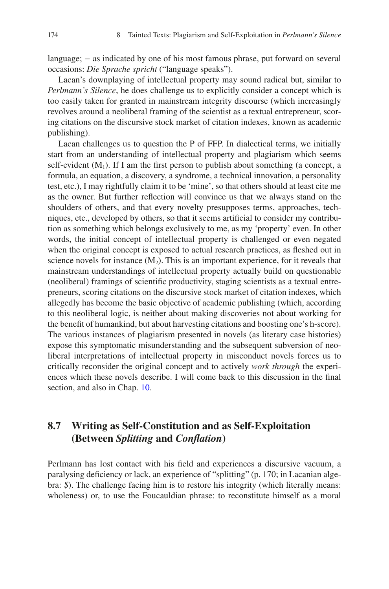language; − as indicated by one of his most famous phrase, put forward on several occasions: *Die Sprache spricht* ("language speaks").

Lacan's downplaying of intellectual property may sound radical but, similar to *Perlmann's Silence*, he does challenge us to explicitly consider a concept which is too easily taken for granted in mainstream integrity discourse (which increasingly revolves around a neoliberal framing of the scientist as a textual entrepreneur, scoring citations on the discursive stock market of citation indexes, known as academic publishing).

Lacan challenges us to question the P of FFP. In dialectical terms, we initially start from an understanding of intellectual property and plagiarism which seems self-evident  $(M_1)$ . If I am the first person to publish about something (a concept, a formula, an equation, a discovery, a syndrome, a technical innovation, a personality test, etc.), I may rightfully claim it to be 'mine', so that others should at least cite me as the owner. But further reflection will convince us that we always stand on the shoulders of others, and that every novelty presupposes terms, approaches, techniques, etc., developed by others, so that it seems artificial to consider my contribution as something which belongs exclusively to me, as my 'property' even. In other words, the initial concept of intellectual property is challenged or even negated when the original concept is exposed to actual research practices, as fleshed out in science novels for instance  $(M_2)$ . This is an important experience, for it reveals that mainstream understandings of intellectual property actually build on questionable (neoliberal) framings of scientific productivity, staging scientists as a textual entrepreneurs, scoring citations on the discursive stock market of citation indexes, which allegedly has become the basic objective of academic publishing (which, according to this neoliberal logic, is neither about making discoveries not about working for the benefit of humankind, but about harvesting citations and boosting one's h-score). The various instances of plagiarism presented in novels (as literary case histories) expose this symptomatic misunderstanding and the subsequent subversion of neoliberal interpretations of intellectual property in misconduct novels forces us to critically reconsider the original concept and to actively *work through* the experiences which these novels describe. I will come back to this discussion in the final section, and also in Chap. [10](http://dx.doi.org/10.1007/978-3-319-65554-3_10).

# **8.7 Writing as Self-Constitution and as Self-Exploitation (Between** *Splitting* **and** *Conflation***)**

Perlmann has lost contact with his field and experiences a discursive vacuum, a paralysing deficiency or lack, an experience of "splitting" (p. 170; in Lacanian algebra: *\$*). The challenge facing him is to restore his integrity (which literally means: wholeness) or, to use the Foucauldian phrase: to reconstitute himself as a moral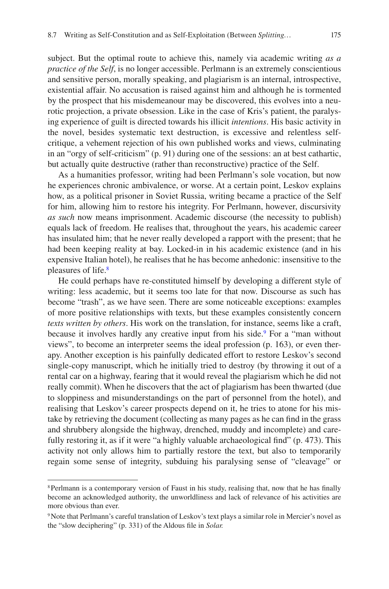subject. But the optimal route to achieve this, namely via academic writing *as a practice of the Self*, is no longer accessible. Perlmann is an extremely conscientious and sensitive person, morally speaking, and plagiarism is an internal, introspective, existential affair. No accusation is raised against him and although he is tormented by the prospect that his misdemeanour may be discovered, this evolves into a neurotic projection, a private obsession. Like in the case of Kris's patient, the paralysing experience of guilt is directed towards his illicit *intentions*. His basic activity in the novel, besides systematic text destruction, is excessive and relentless selfcritique, a vehement rejection of his own published works and views, culminating in an "orgy of self-criticism" (p. 91) during one of the sessions: an at best cathartic, but actually quite destructive (rather than reconstructive) practice of the Self.

As a humanities professor, writing had been Perlmann's sole vocation, but now he experiences chronic ambivalence, or worse. At a certain point, Leskov explains how, as a political prisoner in Soviet Russia, writing became a practice of the Self for him, allowing him to restore his integrity. For Perlmann, however, discursivity *as such* now means imprisonment. Academic discourse (the necessity to publish) equals lack of freedom. He realises that, throughout the years, his academic career has insulated him; that he never really developed a rapport with the present; that he had been keeping reality at bay. Locked-in in his academic existence (and in his expensive Italian hotel), he realises that he has become anhedonic: insensitive to the pleasures of life[.8](#page-10-0)

He could perhaps have re-constituted himself by developing a different style of writing: less academic, but it seems too late for that now. Discourse as such has become "trash", as we have seen. There are some noticeable exceptions: examples of more positive relationships with texts, but these examples consistently concern *texts written by others*. His work on the translation, for instance, seems like a craft, because it involves hardly any creative input from his side.<sup>[9](#page-10-1)</sup> For a "man without views", to become an interpreter seems the ideal profession (p. 163), or even therapy. Another exception is his painfully dedicated effort to restore Leskov's second single-copy manuscript, which he initially tried to destroy (by throwing it out of a rental car on a highway, fearing that it would reveal the plagiarism which he did not really commit). When he discovers that the act of plagiarism has been thwarted (due to sloppiness and misunderstandings on the part of personnel from the hotel), and realising that Leskov's career prospects depend on it, he tries to atone for his mistake by retrieving the document (collecting as many pages as he can find in the grass and shrubbery alongside the highway, drenched, muddy and incomplete) and carefully restoring it, as if it were "a highly valuable archaeological find" (p. 473). This activity not only allows him to partially restore the text, but also to temporarily regain some sense of integrity, subduing his paralysing sense of "cleavage" or

<span id="page-10-0"></span><sup>&</sup>lt;sup>8</sup>Perlmann is a contemporary version of Faust in his study, realising that, now that he has finally become an acknowledged authority, the unworldliness and lack of relevance of his activities are more obvious than ever.

<span id="page-10-1"></span><sup>9</sup>Note that Perlmann's careful translation of Leskov's text plays a similar role in Mercier's novel as the "slow deciphering" (p. 331) of the Aldous file in *Solar.*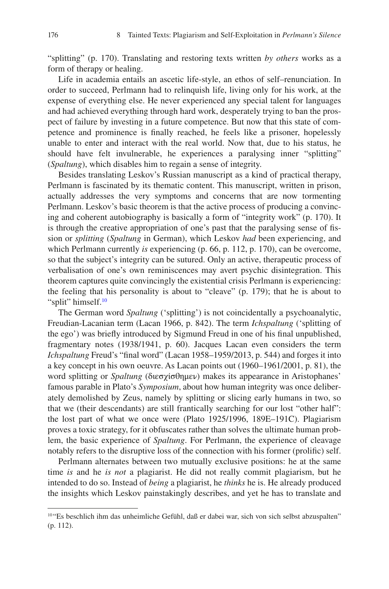"splitting" (p. 170). Translating and restoring texts written *by others* works as a form of therapy or healing.

Life in academia entails an ascetic life-style, an ethos of self–renunciation. In order to succeed, Perlmann had to relinquish life, living only for his work, at the expense of everything else. He never experienced any special talent for languages and had achieved everything through hard work, desperately trying to ban the prospect of failure by investing in a future competence. But now that this state of competence and prominence is finally reached, he feels like a prisoner, hopelessly unable to enter and interact with the real world. Now that, due to his status, he should have felt invulnerable, he experiences a paralysing inner "splitting" (*Spaltung*), which disables him to regain a sense of integrity.

Besides translating Leskov's Russian manuscript as a kind of practical therapy, Perlmann is fascinated by its thematic content. This manuscript, written in prison, actually addresses the very symptoms and concerns that are now tormenting Perlmann. Leskov's basic theorem is that the active process of producing a convincing and coherent autobiography is basically a form of "integrity work" (p. 170). It is through the creative appropriation of one's past that the paralysing sense of fission or *splitting* (*Spaltung* in German), which Leskov *had* been experiencing, and which Perlmann currently *is* experiencing (p. 66, p. 112, p. 170), can be overcome, so that the subject's integrity can be sutured. Only an active, therapeutic process of verbalisation of one's own reminiscences may avert psychic disintegration. This theorem captures quite convincingly the existential crisis Perlmann is experiencing: the feeling that his personality is about to "cleave" (p. 179); that he is about to "split" himself.<sup>[10](#page-11-0)</sup>

The German word *Spaltung* ('splitting') is not coincidentally a psychoanalytic, Freudian-Lacanian term (Lacan 1966, p. 842). The term *Ichspaltung* ('splitting of the ego') was briefly introduced by Sigmund Freud in one of his final unpublished, fragmentary notes (1938/1941, p. 60). Jacques Lacan even considers the term *Ichspaltung* Freud's "final word" (Lacan 1958–1959/2013, p. 544) and forges it into a key concept in his own oeuvre. As Lacan points out (1960–1961/2001, p. 81), the word splitting or *Spaltung* (διεσχίσθημεν) makes its appearance in Aristophanes' famous parable in Plato's *Symposium*, about how human integrity was once deliberately demolished by Zeus, namely by splitting or slicing early humans in two, so that we (their descendants) are still frantically searching for our lost "other half": the lost part of what we once were (Plato 1925/1996, 189E–191C). Plagiarism proves a toxic strategy, for it obfuscates rather than solves the ultimate human problem, the basic experience of *Spaltung*. For Perlmann, the experience of cleavage notably refers to the disruptive loss of the connection with his former (prolific) self.

Perlmann alternates between two mutually exclusive positions: he at the same time *is* and he *is not* a plagiarist. He did not really commit plagiarism, but he intended to do so. Instead of *being* a plagiarist, he *thinks* he is. He already produced the insights which Leskov painstakingly describes, and yet he has to translate and

<span id="page-11-0"></span><sup>10</sup> "Es beschlich ihm das unheimliche Gefühl, daß er dabei war, sich von sich selbst abzuspalten" (p. 112).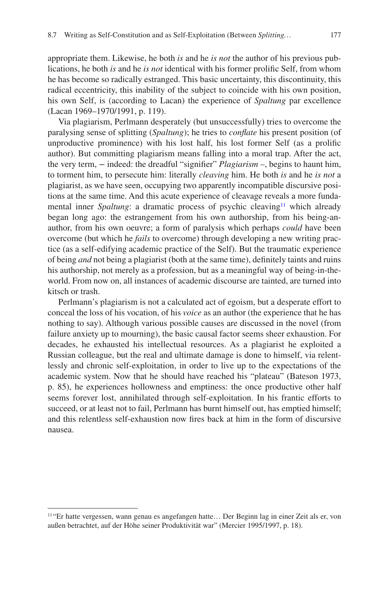appropriate them. Likewise, he both *is* and he *is not* the author of his previous publications, he both *is* and he *is not* identical with his former prolific Self, from whom he has become so radically estranged. This basic uncertainty, this discontinuity, this radical eccentricity, this inability of the subject to coincide with his own position, his own Self, is (according to Lacan) the experience of *Spaltung* par excellence (Lacan 1969–1970/1991, p. 119).

Via plagiarism, Perlmann desperately (but unsuccessfully) tries to overcome the paralysing sense of splitting (*Spaltung*); he tries to *conflate* his present position (of unproductive prominence) with his lost half, his lost former Self (as a prolific author). But committing plagiarism means falling into a moral trap. After the act, the very term, − indeed: the dreadful "signifier" *Plagiarism* –, begins to haunt him, to torment him, to persecute him: literally *cleaving* him. He both *is* and he *is not* a plagiarist, as we have seen, occupying two apparently incompatible discursive positions at the same time. And this acute experience of cleavage reveals a more fundamental inner *Spaltung*: a dramatic process of psychic cleaving<sup>11</sup> which already began long ago: the estrangement from his own authorship, from his being-anauthor, from his own oeuvre; a form of paralysis which perhaps *could* have been overcome (but which he *fails* to overcome) through developing a new writing practice (as a self-edifying academic practice of the Self). But the traumatic experience of being *and* not being a plagiarist (both at the same time), definitely taints and ruins his authorship, not merely as a profession, but as a meaningful way of being-in-theworld. From now on, all instances of academic discourse are tainted, are turned into kitsch or trash.

Perlmann's plagiarism is not a calculated act of egoism, but a desperate effort to conceal the loss of his vocation, of his *voice* as an author (the experience that he has nothing to say). Although various possible causes are discussed in the novel (from failure anxiety up to mourning), the basic causal factor seems sheer exhaustion. For decades, he exhausted his intellectual resources. As a plagiarist he exploited a Russian colleague, but the real and ultimate damage is done to himself, via relentlessly and chronic self-exploitation, in order to live up to the expectations of the academic system. Now that he should have reached his "plateau" (Bateson 1973, p. 85), he experiences hollowness and emptiness: the once productive other half seems forever lost, annihilated through self-exploitation. In his frantic efforts to succeed, or at least not to fail, Perlmann has burnt himself out, has emptied himself; and this relentless self-exhaustion now fires back at him in the form of discursive nausea.

<span id="page-12-0"></span><sup>11</sup> "Er hatte vergessen, wann genau es angefangen hatte… Der Beginn lag in einer Zeit als er, von außen betrachtet, auf der Höhe seiner Produktivität war" (Mercier 1995/1997, p. 18).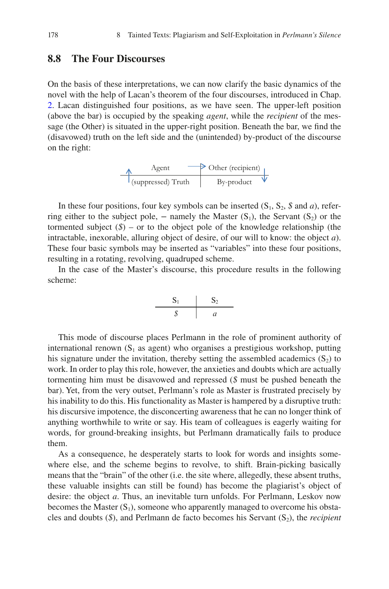# **8.8 The Four Discourses**

On the basis of these interpretations, we can now clarify the basic dynamics of the novel with the help of Lacan's theorem of the four discourses, introduced in Chap. [2.](http://dx.doi.org/10.1007/978-3-319-65554-3_2) Lacan distinguished four positions, as we have seen. The upper-left position (above the bar) is occupied by the speaking *agent*, while the *recipient* of the message (the Other) is situated in the upper-right position. Beneath the bar, we find the (disavowed) truth on the left side and the (unintended) by-product of the discourse on the right:

| Agent              | Other (recipient) |           |
|--------------------|-------------------|-----------|
| (suppressed) Truth | By-product        | $\forall$ |

In these four positions, four key symbols can be inserted  $(S_1, S_2, \text{\$ and\$a})$ , referring either to the subject pole, – namely the Master  $(S_1)$ , the Servant  $(S_2)$  or the tormented subject  $(\mathcal{S})$  – or to the object pole of the knowledge relationship (the intractable, inexorable, alluring object of desire, of our will to know: the object *a*). These four basic symbols may be inserted as "variables" into these four positions, resulting in a rotating, revolving, quadruped scheme.

In the case of the Master's discourse, this procedure results in the following scheme:

$$
\begin{array}{c|c}\nS_1 & S_2 \\
\hline\n\text{S} & a\n\end{array}
$$

This mode of discourse places Perlmann in the role of prominent authority of international renown  $(S_1$  as agent) who organises a prestigious workshop, putting his signature under the invitation, thereby setting the assembled academics  $(S_2)$  to work. In order to play this role, however, the anxieties and doubts which are actually tormenting him must be disavowed and repressed (*\$* must be pushed beneath the bar). Yet, from the very outset, Perlmann's role as Master is frustrated precisely by his inability to do this. His functionality as Master is hampered by a disruptive truth: his discursive impotence, the disconcerting awareness that he can no longer think of anything worthwhile to write or say. His team of colleagues is eagerly waiting for words, for ground-breaking insights, but Perlmann dramatically fails to produce them.

As a consequence, he desperately starts to look for words and insights somewhere else, and the scheme begins to revolve, to shift. Brain-picking basically means that the "brain" of the other (i.e. the site where, allegedly, these absent truths, these valuable insights can still be found) has become the plagiarist's object of desire: the object *a*. Thus, an inevitable turn unfolds. For Perlmann, Leskov now becomes the Master  $(S_1)$ , someone who apparently managed to overcome his obstacles and doubts (*\$*), and Perlmann de facto becomes his Servant (S<sub>2</sub>), the *recipient*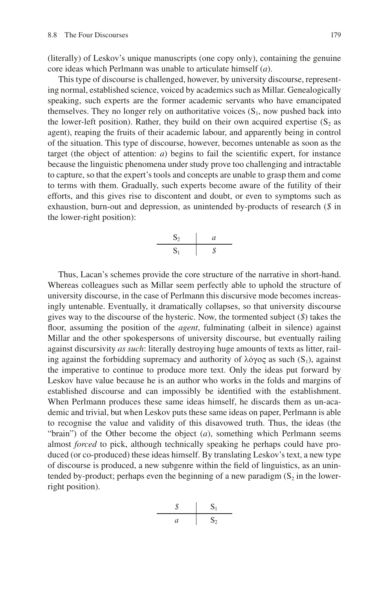(literally) of Leskov's unique manuscripts (one copy only), containing the genuine core ideas which Perlmann was unable to articulate himself (*a*).

This type of discourse is challenged, however, by university discourse, representing normal, established science, voiced by academics such as Millar. Genealogically speaking, such experts are the former academic servants who have emancipated themselves. They no longer rely on authoritative voices  $(S_1, now$  pushed back into the lower-left position). Rather, they build on their own acquired expertise  $(S_2$  as agent), reaping the fruits of their academic labour, and apparently being in control of the situation. This type of discourse, however, becomes untenable as soon as the target (the object of attention: *a*) begins to fail the scientific expert, for instance because the linguistic phenomena under study prove too challenging and intractable to capture, so that the expert's tools and concepts are unable to grasp them and come to terms with them. Gradually, such experts become aware of the futility of their efforts, and this gives rise to discontent and doubt, or even to symptoms such as exhaustion, burn-out and depression, as unintended by-products of research (*\$* in the lower-right position):



Thus, Lacan's schemes provide the core structure of the narrative in short-hand. Whereas colleagues such as Millar seem perfectly able to uphold the structure of university discourse, in the case of Perlmann this discursive mode becomes increasingly untenable. Eventually, it dramatically collapses, so that university discourse gives way to the discourse of the hysteric. Now, the tormented subject (*\$*) takes the floor, assuming the position of the *agent*, fulminating (albeit in silence) against Millar and the other spokespersons of university discourse, but eventually railing against discursivity *as such*: literally destroying huge amounts of texts as litter, railing against the forbidding supremacy and authority of  $\lambda \acute{o}y$  as such (S<sub>1</sub>), against the imperative to continue to produce more text. Only the ideas put forward by Leskov have value because he is an author who works in the folds and margins of established discourse and can impossibly be identified with the establishment. When Perlmann produces these same ideas himself, he discards them as un-academic and trivial, but when Leskov puts these same ideas on paper, Perlmann is able to recognise the value and validity of this disavowed truth. Thus, the ideas (the "brain") of the Other become the object (*a*), something which Perlmann seems almost *forced* to pick, although technically speaking he perhaps could have produced (or co-produced) these ideas himself. By translating Leskov's text, a new type of discourse is produced, a new subgenre within the field of linguistics, as an unintended by-product; perhaps even the beginning of a new paradigm  $(S_2$  in the lowerright position).

$$
\begin{array}{c|c}\n\mathcal{S} & S_1 \\
\hline\na & S_2\n\end{array}
$$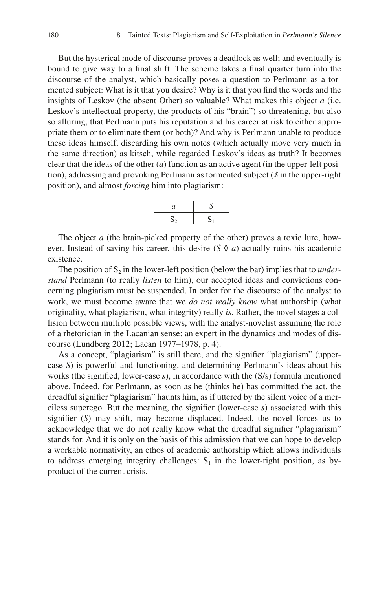But the hysterical mode of discourse proves a deadlock as well; and eventually is bound to give way to a final shift. The scheme takes a final quarter turn into the discourse of the analyst, which basically poses a question to Perlmann as a tormented subject: What is it that you desire? Why is it that you find the words and the insights of Leskov (the absent Other) so valuable? What makes this object *a* (i.e. Leskov's intellectual property, the products of his "brain") so threatening, but also so alluring, that Perlmann puts his reputation and his career at risk to either appropriate them or to eliminate them (or both)? And why is Perlmann unable to produce these ideas himself, discarding his own notes (which actually move very much in the same direction) as kitsch, while regarded Leskov's ideas as truth? It becomes clear that the ideas of the other (*a*) function as an active agent (in the upper-left position), addressing and provoking Perlmann as tormented subject (*\$* in the upper-right position), and almost *forcing* him into plagiarism:

| $a$   | $\$$  |
|-------|-------|
| $S_2$ | $S_1$ |

The object *a* (the brain-picked property of the other) proves a toxic lure, however. Instead of saving his career, this desire  $(\oint \phi a)$  actually ruins his academic existence.

The position of  $S_2$  in the lower-left position (below the bar) implies that to *understand* Perlmann (to really *listen* to him), our accepted ideas and convictions concerning plagiarism must be suspended. In order for the discourse of the analyst to work, we must become aware that we *do not really know* what authorship (what originality, what plagiarism, what integrity) really *is*. Rather, the novel stages a collision between multiple possible views, with the analyst-novelist assuming the role of a rhetorician in the Lacanian sense: an expert in the dynamics and modes of discourse (Lundberg 2012; Lacan 1977–1978, p. 4).

As a concept, "plagiarism" is still there, and the signifier "plagiarism" (uppercase *S*) is powerful and functioning, and determining Perlmann's ideas about his works (the signified, lower-case *s*), in accordance with the (S/s) formula mentioned above. Indeed, for Perlmann, as soon as he (thinks he) has committed the act, the dreadful signifier "plagiarism" haunts him, as if uttered by the silent voice of a merciless superego. But the meaning, the signifier (lower-case *s*) associated with this signifier (*S*) may shift, may become displaced. Indeed, the novel forces us to acknowledge that we do not really know what the dreadful signifier "plagiarism" stands for. And it is only on the basis of this admission that we can hope to develop a workable normativity, an ethos of academic authorship which allows individuals to address emerging integrity challenges:  $S_1$  in the lower-right position, as byproduct of the current crisis.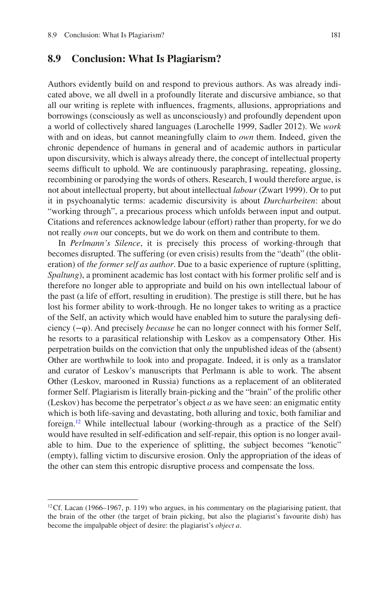# **8.9 Conclusion: What Is Plagiarism?**

Authors evidently build on and respond to previous authors. As was already indicated above, we all dwell in a profoundly literate and discursive ambiance, so that all our writing is replete with influences, fragments, allusions, appropriations and borrowings (consciously as well as unconsciously) and profoundly dependent upon a world of collectively shared languages (Larochelle 1999, Sadler 2012). We *work* with and on ideas, but cannot meaningfully claim to *own* them. Indeed, given the chronic dependence of humans in general and of academic authors in particular upon discursivity, which is always already there, the concept of intellectual property seems difficult to uphold. We are continuously paraphrasing, repeating, glossing, recombining or parodying the words of others. Research, I would therefore argue, is not about intellectual property, but about intellectual *labour* (Zwart 1999). Or to put it in psychoanalytic terms: academic discursivity is about *Durcharbeiten*: about "working through", a precarious process which unfolds between input and output. Citations and references acknowledge labour (effort) rather than property, for we do not really *own* our concepts, but we do work on them and contribute to them.

In *Perlmann's Silence*, it is precisely this process of working-through that becomes disrupted. The suffering (or even crisis) results from the "death" (the obliteration) of *the former self as author*. Due to a basic experience of rupture (splitting, *Spaltung*), a prominent academic has lost contact with his former prolific self and is therefore no longer able to appropriate and build on his own intellectual labour of the past (a life of effort, resulting in erudition). The prestige is still there, but he has lost his former ability to work-through. He no longer takes to writing as a practice of the Self, an activity which would have enabled him to suture the paralysing deficiency (−φ). And precisely *because* he can no longer connect with his former Self, he resorts to a parasitical relationship with Leskov as a compensatory Other. His perpetration builds on the conviction that only the unpublished ideas of the (absent) Other are worthwhile to look into and propagate. Indeed, it is only as a translator and curator of Leskov's manuscripts that Perlmann is able to work. The absent Other (Leskov, marooned in Russia) functions as a replacement of an obliterated former Self. Plagiarism is literally brain-picking and the "brain" of the prolific other (Leskov) has become the perpetrator's object *a* as we have seen: an enigmatic entity which is both life-saving and devastating, both alluring and toxic, both familiar and foreign[.12](#page-16-0) While intellectual labour (working-through as a practice of the Self) would have resulted in self-edification and self-repair, this option is no longer available to him. Due to the experience of splitting, the subject becomes "kenotic" (empty), falling victim to discursive erosion. Only the appropriation of the ideas of the other can stem this entropic disruptive process and compensate the loss.

<span id="page-16-0"></span><sup>&</sup>lt;sup>12</sup>Cf. Lacan (1966–1967, p. 119) who argues, in his commentary on the plagiarising patient, that the brain of the other (the target of brain picking, but also the plagiarist's favourite dish) has become the impalpable object of desire: the plagiarist's *object a*.